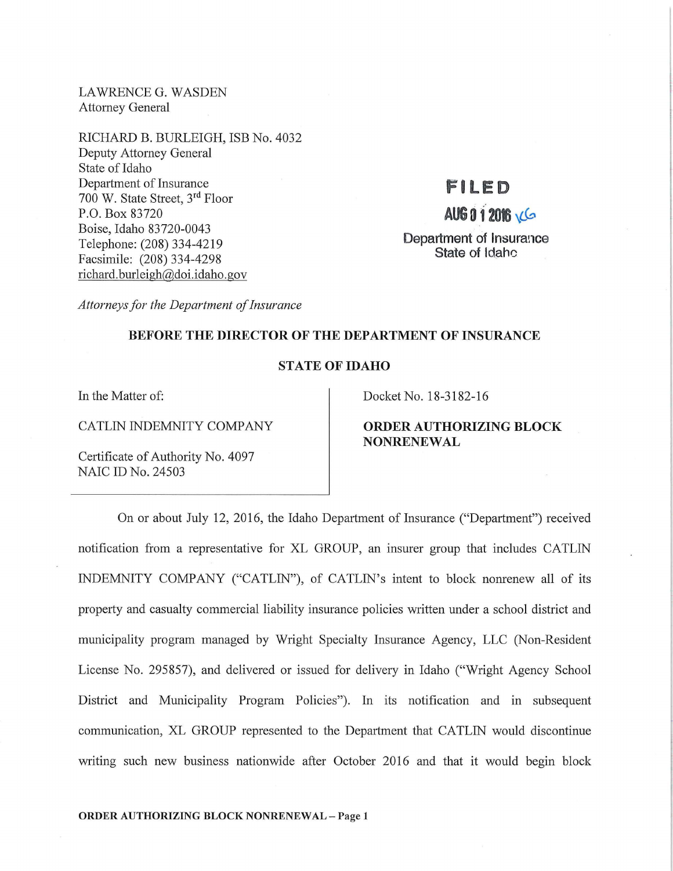LAWRENCE G. WASDEN Attorney General

RICHARD B. BURLEIGH, ISB No. 4032 Deputy Attorney General State of Idaho Department of Insurance 700 W. State Street, 3rd Floor P.O. Box 83720 Boise, Idaho 83720-0043 Telephone: (208) 334-4219 Facsimile: (208) 334-4298 richard.burleigh@doi.idaho.gov

## **FILED**

# **AUG 0 f <sup>201</sup>\LCt,**

**Department of Insurance State of Idahc** 

*Attorneys for the Department of Insurance* 

#### **BEFORE THE DIRECTOR OF THE DEPARTMENT OF INSURANCE**

#### **STATE OF IDAHO**

In the Matter of:

CATLIN INDEMNITY COMPANY

Certificate of Authority No. 4097 NAIC ID No. 24503

Docket No. 18-3182-16

### **ORDER AUTHORIZING BLOCK NONRENEWAL**

On or about July 12, 2016, the Idaho Department of Insurance ("Department") received notification from a representative for XL GROUP, an insurer group that includes CATLIN INDEMNITY COMPANY ("CATLIN"), of CATLIN's intent to block nomenew all of its property and casualty commercial liability insurance policies written under a school district and municipality program managed by Wright Specialty Insurance Agency, LLC (Non-Resident License No. 295857), and delivered or issued for delivery in Idaho ("Wright Agency School District and Municipality Program Policies"). In its notification and in subsequent communication, XL GROUP represented to the Department that CATLIN would discontinue writing such new business nationwide after October 2016 and that it would begin block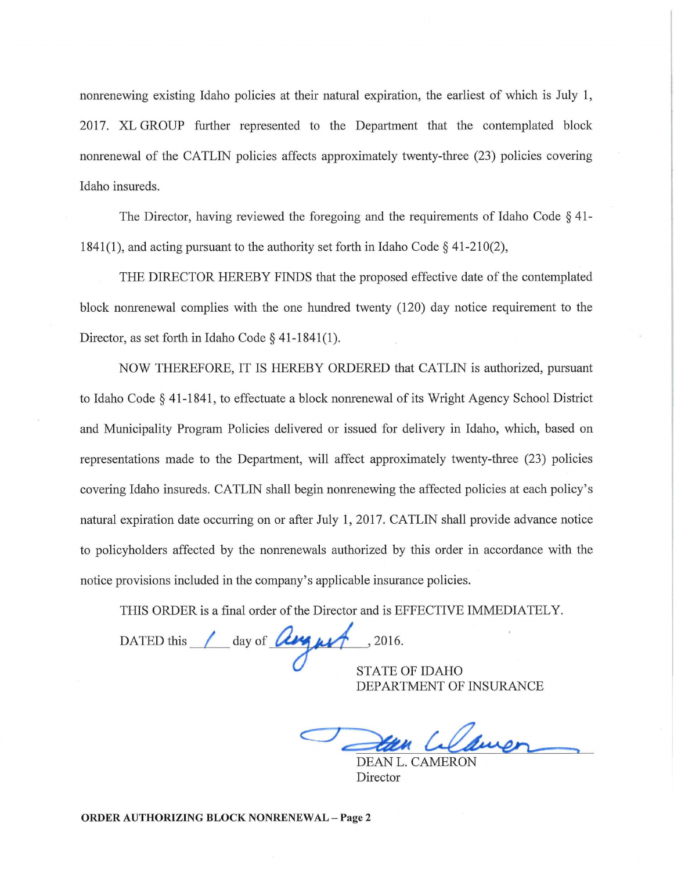nonrenewing existing Idaho policies at their natural expiration, the earliest of which is July 1, 2017. XL GROUP further represented to the Department that the contemplated block nonrenewal of the CATLIN policies affects approximately twenty-three (23) policies covering Idaho insureds.

The Director, having reviewed the foregoing and the requirements of Idaho Code § 41- 1841(1), and acting pursuant to the authority set forth in Idaho Code  $\S$  41-210(2),

THE DIRECTOR HEREBY FINDS that the proposed effective date of the contemplated block nonrenewal complies with the one hundred twenty (120) day notice requirement to the Director, as set forth in Idaho Code§ 41-1841(1).

NOW THEREFORE, IT IS HEREBY ORDERED that CATLIN is authorized, pursuant to Idaho Code § 41-1841, to effectuate a block nonrenewal of its Wright Agency School District and Municipality Program Policies delivered or issued for delivery in Idaho, which, based on representations made to the Department, will affect approximately twenty-three (23) policies covering Idaho insureds. CATLIN shall begin nonrenewing the affected policies at each policy's natural expiration date occurring on or after July 1, 2017. CATLIN shall provide advance notice to policyholders affected by the nomenewals authorized by this order in accordance with the notice provisions included in the company's applicable insurance policies.

THIS ORDER is a final order of the Director and is EFFECTIVE IMMEDIATELY.

DATED this day of **Use us** .2016.

STATE OF IDAHO DEPARTMENT OF INSURANCE

DEAN L. CAMERON Director

ORDER AUTHORIZING BLOCK NONRENEWAL - Page 2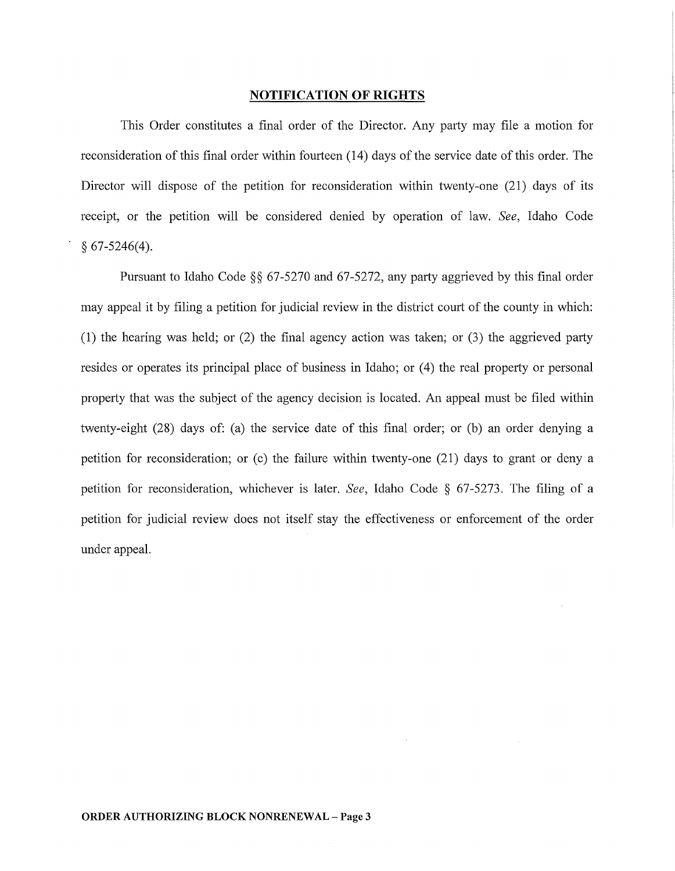#### NOTIFICATION OF RIGHTS

This Order constitutes a final order of the Director. Any party may file a motion for reconsideration of this final order within fourteen (14) days of the service date of this order. The Director will dispose of the petition for reconsideration within twenty-one (21) days of its receipt, or the petition will be considered denied by operation of law. *See,* Idaho Code § 67-5246(4).

Pursuant to Idaho Code §§ 67-5270 and 67-5272, any party aggrieved by this final order may appeal it by filing a petition for judicial review in the district court of the county in which: (1) the hearing was held; or (2) the final agency action was taken; or (3) the aggrieved party resides or operates its principal place of business in Idaho; or (4) the real property or personal property that was the subject of the agency decision is located. An appeal must be filed within twenty-eight (28) days of: (a) the service date of this final order; or (b) an order denying a petition for reconsideration; or  $(c)$  the failure within twenty-one  $(21)$  days to grant or deny a petition for reconsideration, whichever is later. *See,* Idaho Code § 67-5273. The filing of a petition for judicial review does not itself stay the effectiveness or enforcement of the order under appeal.